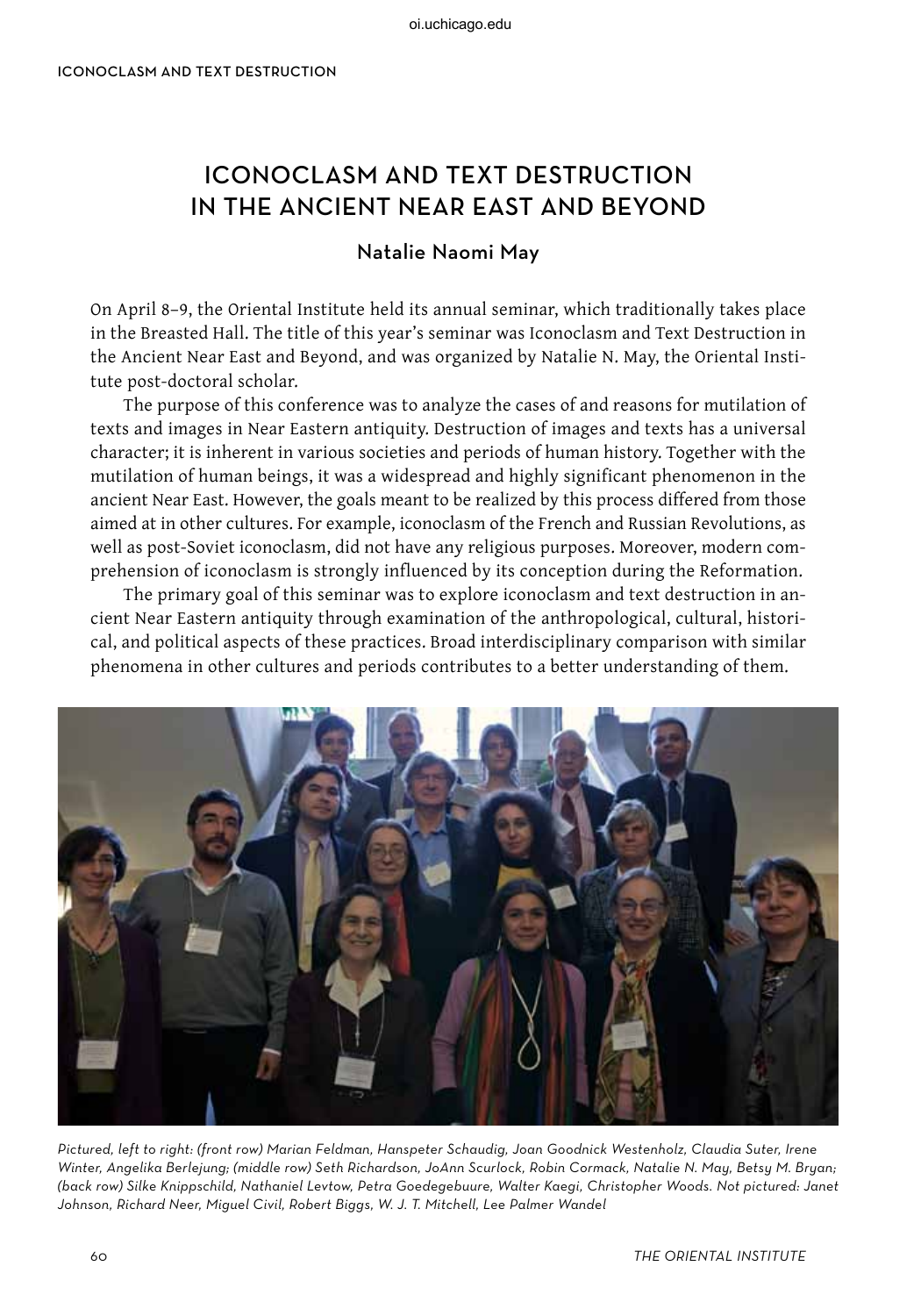## Iconoclasm and Text Destruction in the ancient near east and beyond

## Natalie Naomi May

On April 8–9, the Oriental Institute held its annual seminar, which traditionally takes place in the Breasted Hall. The title of this year's seminar was Iconoclasm and Text Destruction in the Ancient Near East and Beyond, and was organized by Natalie N. May, the Oriental Institute post-doctoral scholar.

The purpose of this conference was to analyze the cases of and reasons for mutilation of texts and images in Near Eastern antiquity. Destruction of images and texts has a universal character; it is inherent in various societies and periods of human history. Together with the mutilation of human beings, it was a widespread and highly significant phenomenon in the ancient Near East. However, the goals meant to be realized by this process differed from those aimed at in other cultures. For example, iconoclasm of the French and Russian Revolutions, as well as post-Soviet iconoclasm, did not have any religious purposes. Moreover, modern comprehension of iconoclasm is strongly influenced by its conception during the Reformation.

The primary goal of this seminar was to explore iconoclasm and text destruction in ancient Near Eastern antiquity through examination of the anthropological, cultural, historical, and political aspects of these practices. Broad interdisciplinary comparison with similar phenomena in other cultures and periods contributes to a better understanding of them.



Pictured, left to right: (front row) Marian Feldman, Hanspeter Schaudig, Joan Goodnick Westenholz, Claudia Suter, Irene Winter, Angelika Berlejung; (middle row) Seth Richardson, JoAnn Scurlock, Robin Cormack, Natalie N. May, Betsy M. Bryan; (back row) Silke Knippschild, Nathaniel Levtow, Petra Goedegebuure, Walter Kaegi, Christopher Woods. Not pictured: Janet Johnson, Richard Neer, Miguel Civil, Robert Biggs, W. J. T. Mitchell, Lee Palmer Wandel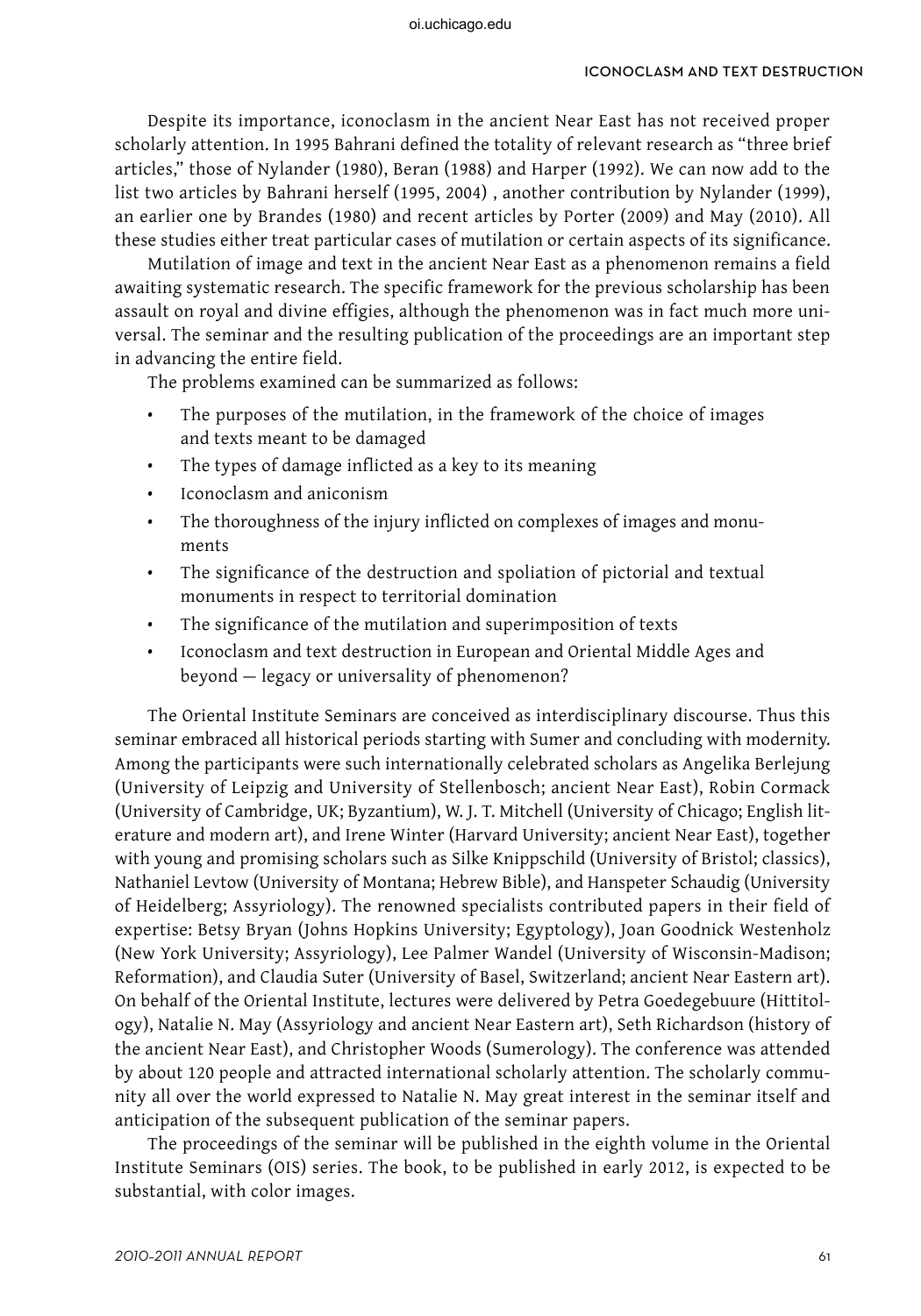Despite its importance, iconoclasm in the ancient Near East has not received proper scholarly attention. In 1995 Bahrani defined the totality of relevant research as "three brief articles," those of Nylander (1980), Beran (1988) and Harper (1992). We can now add to the list two articles by Bahrani herself (1995, 2004) , another contribution by Nylander (1999), an earlier one by Brandes (1980) and recent articles by Porter (2009) and May (2010). All these studies either treat particular cases of mutilation or certain aspects of its significance.

Mutilation of image and text in the ancient Near East as a phenomenon remains a field awaiting systematic research. The specific framework for the previous scholarship has been assault on royal and divine effigies, although the phenomenon was in fact much more universal. The seminar and the resulting publication of the proceedings are an important step in advancing the entire field.

The problems examined can be summarized as follows:

- The purposes of the mutilation, in the framework of the choice of images and texts meant to be damaged
- The types of damage inflicted as a key to its meaning
- Iconoclasm and aniconism
- • The thoroughness of the injury inflicted on complexes of images and monuments
- The significance of the destruction and spoliation of pictorial and textual monuments in respect to territorial domination
- • The significance of the mutilation and superimposition of texts
- Iconoclasm and text destruction in European and Oriental Middle Ages and beyond — legacy or universality of phenomenon?

The Oriental Institute Seminars are conceived as interdisciplinary discourse. Thus this seminar embraced all historical periods starting with Sumer and concluding with modernity. Among the participants were such internationally celebrated scholars as Angelika Berlejung (University of Leipzig and University of Stellenbosch; ancient Near East), Robin Cormack (University of Cambridge, UK; Byzantium), W. J. T. Mitchell (University of Chicago; English literature and modern art), and Irene Winter (Harvard University; ancient Near East), together with young and promising scholars such as Silke Knippschild (University of Bristol; classics), Nathaniel Levtow (University of Montana; Hebrew Bible), and Hanspeter Schaudig (University of Heidelberg; Assyriology). The renowned specialists contributed papers in their field of expertise: Betsy Bryan (Johns Hopkins University; Egyptology), Joan Goodnick Westenholz (New York University; Assyriology), Lee Palmer Wandel (University of Wisconsin-Madison; Reformation), and Claudia Suter (University of Basel, Switzerland; ancient Near Eastern art). On behalf of the Oriental Institute, lectures were delivered by Petra Goedegebuure (Hittitology), Natalie N. May (Assyriology and ancient Near Eastern art), Seth Richardson (history of the ancient Near East), and Christopher Woods (Sumerology). The conference was attended by about 120 people and attracted international scholarly attention. The scholarly community all over the world expressed to Natalie N. May great interest in the seminar itself and anticipation of the subsequent publication of the seminar papers.

The proceedings of the seminar will be published in the eighth volume in the Oriental Institute Seminars (OIS) series. The book, to be published in early 2012, is expected to be substantial, with color images.